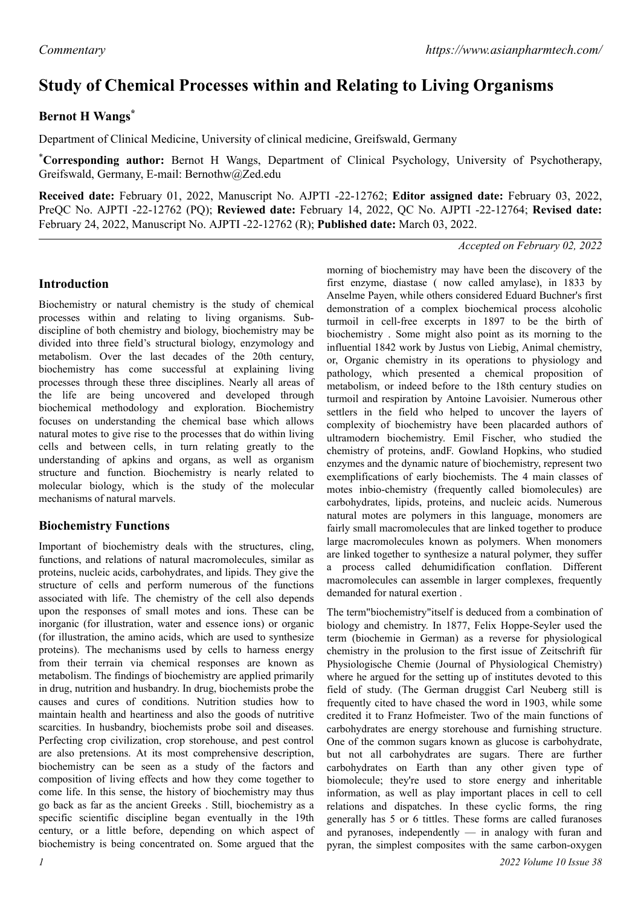# **Study of Chemical Processes within and Relating to Living Organisms**

## **Bernot H Wangs\***

Department of Clinical Medicine, University of clinical medicine, Greifswald, Germany

\***Corresponding author:** Bernot H Wangs, Department of Clinical Psychology, University of Psychotherapy, Greifswald, Germany, E-mail: Bernothw@Zed.edu

**Received date:** February 01, 2022, Manuscript No. AJPTI -22-12762; **Editor assigned date:** February 03, 2022, PreQC No. AJPTI -22-12762 (PQ); **Reviewed date:** February 14, 2022, QC No. AJPTI -22-12764; **Revised date:** February 24, 2022, Manuscript No. AJPTI -22-12762 (R); **Published date:** March 03, 2022.

*Accepted on February 02, 2022*

#### **Introduction**

Biochemistry or natural chemistry is the study of chemical processes within and relating to living organisms. Subdiscipline of both chemistry and biology, biochemistry may be divided into three field's structural biology, enzymology and metabolism. Over the last decades of the 20th century, biochemistry has come successful at explaining living processes through these three disciplines. Nearly all areas of the life are being uncovered and developed through biochemical methodology and exploration. Biochemistry focuses on understanding the chemical base which allows natural motes to give rise to the processes that do within living cells and between cells, in turn relating greatly to the understanding of apkins and organs, as well as organism structure and function. Biochemistry is nearly related to molecular biology, which is the study of the molecular mechanisms of natural marvels.

### **Biochemistry Functions**

Important of biochemistry deals with the structures, cling, functions, and relations of natural macromolecules, similar as proteins, nucleic acids, carbohydrates, and lipids. They give the structure of cells and perform numerous of the functions associated with life. The chemistry of the cell also depends upon the responses of small motes and ions. These can be inorganic (for illustration, water and essence ions) or organic (for illustration, the amino acids, which are used to synthesize proteins). The mechanisms used by cells to harness energy from their terrain via chemical responses are known as metabolism. The findings of biochemistry are applied primarily in drug, nutrition and husbandry. In drug, biochemists probe the causes and cures of conditions. Nutrition studies how to maintain health and heartiness and also the goods of nutritive scarcities. In husbandry, biochemists probe soil and diseases. Perfecting crop civilization, crop storehouse, and pest control are also pretensions. At its most comprehensive description, biochemistry can be seen as a study of the factors and composition of living effects and how they come together to come life. In this sense, the history of biochemistry may thus go back as far as the ancient Greeks . Still, biochemistry as a specific scientific discipline began eventually in the 19th century, or a little before, depending on which aspect of biochemistry is being concentrated on. Some argued that the

morning of biochemistry may have been the discovery of the first enzyme, diastase ( now called amylase), in 1833 by Anselme Payen, while others considered Eduard Buchner's first demonstration of a complex biochemical process alcoholic turmoil in cell-free excerpts in 1897 to be the birth of biochemistry . Some might also point as its morning to the influential 1842 work by Justus von Liebig, Animal chemistry, or, Organic chemistry in its operations to physiology and pathology, which presented a chemical proposition of metabolism, or indeed before to the 18th century studies on turmoil and respiration by Antoine Lavoisier. Numerous other settlers in the field who helped to uncover the layers of complexity of biochemistry have been placarded authors of ultramodern biochemistry. Emil Fischer, who studied the chemistry of proteins, andF. Gowland Hopkins, who studied enzymes and the dynamic nature of biochemistry, represent two exemplifications of early biochemists. The 4 main classes of motes inbio-chemistry (frequently called biomolecules) are carbohydrates, lipids, proteins, and nucleic acids. Numerous natural motes are polymers in this language, monomers are fairly small macromolecules that are linked together to produce large macromolecules known as polymers. When monomers are linked together to synthesize a natural polymer, they suffer a process called dehumidification conflation. Different macromolecules can assemble in larger complexes, frequently demanded for natural exertion .

The term"biochemistry"itself is deduced from a combination of biology and chemistry. In 1877, Felix Hoppe-Seyler used the term (biochemie in German) as a reverse for physiological chemistry in the prolusion to the first issue of Zeitschrift für Physiologische Chemie (Journal of Physiological Chemistry) where he argued for the setting up of institutes devoted to this field of study. (The German druggist Carl Neuberg still is frequently cited to have chased the word in 1903, while some credited it to Franz Hofmeister. Two of the main functions of carbohydrates are energy storehouse and furnishing structure. One of the common sugars known as glucose is carbohydrate, but not all carbohydrates are sugars. There are further carbohydrates on Earth than any other given type of biomolecule; they're used to store energy and inheritable information, as well as play important places in cell to cell relations and dispatches. In these cyclic forms, the ring generally has 5 or 6 tittles. These forms are called furanoses and pyranoses, independently — in analogy with furan and pyran, the simplest composites with the same carbon-oxygen